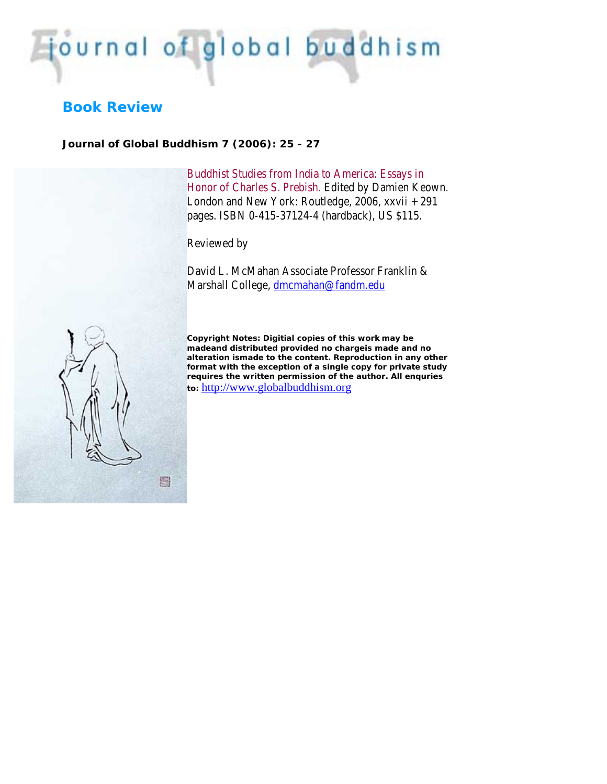## journal of global buddhism

## **Book Review**

*Journal of Global Buddhism 7 (2006): 25 - 27*

Buddhist Studies from India to America: Essays in Honor of Charles S. Prebish. Edited by Damien Keown. London and New York: Routledge, 2006, xxvii + 291 pages. ISBN 0-415-37124-4 (hardback), US \$115.

Reviewed by

David L. McMahan Associate Professor Franklin & Marshall College, [dmcmahan@fandm.edu](mailto:dmcmahan@fandm.edu)



*Copyright Notes:* **Digitial copies of this work may be madeand distributed provided no chargeis made and no alteration ismade to the content. Reproduction in any other format with the exception of a single copy for private study requires the written permission of the author. All enquries to:** [http://www.globalbuddhism.org](http://www.globalbuddhism.org/)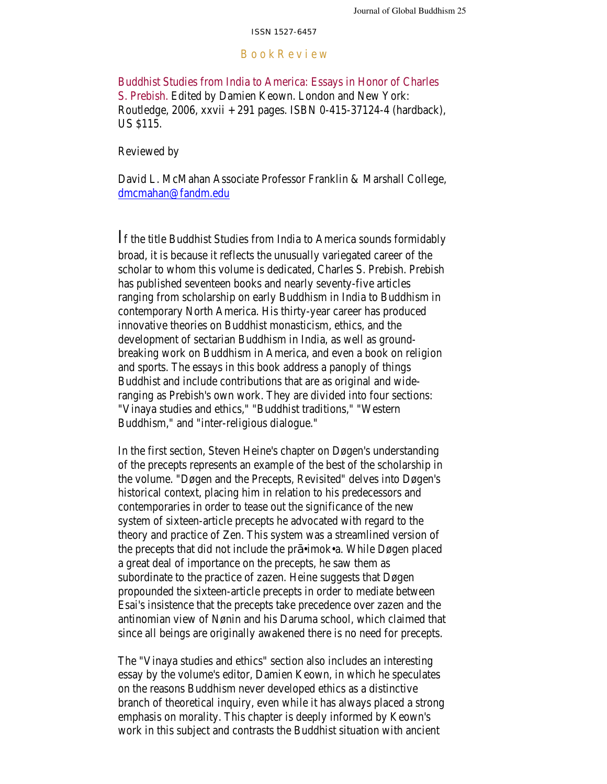## B o o k R e v i e w

Buddhist Studies from India to America: Essays in Honor of Charles S. Prebish. Edited by Damien Keown. London and New York: Routledge, 2006, xxvii + 291 pages. ISBN 0-415-37124-4 (hardback), US \$115.

Reviewed by

David L. McMahan Associate Professor Franklin & Marshall College, [dmcmahan@fandm.edu](mailto:dmcmahan@fandm.edu)

If the title Buddhist Studies from India to America sounds formidably broad, it is because it reflects the unusually variegated career of the scholar to whom this volume is dedicated, Charles S. Prebish. Prebish has published seventeen books and nearly seventy-five articles ranging from scholarship on early Buddhism in India to Buddhism in contemporary North America. His thirty-year career has produced innovative theories on Buddhist monasticism, ethics, and the development of sectarian Buddhism in India, as well as groundbreaking work on Buddhism in America, and even a book on religion and sports. The essays in this book address a panoply of things Buddhist and include contributions that are as original and wideranging as Prebish's own work. They are divided into four sections: "Vinaya studies and ethics," "Buddhist traditions," "Western Buddhism," and "inter-religious dialogue."

In the first section, Steven Heine's chapter on Døgen's understanding of the precepts represents an example of the best of the scholarship in the volume. "Døgen and the Precepts, Revisited" delves into Døgen's historical context, placing him in relation to his predecessors and contemporaries in order to tease out the significance of the new system of sixteen-article precepts he advocated with regard to the theory and practice of Zen. This system was a streamlined version of the precepts that did not include the pr •imok•a. While Døgen placed a great deal of importance on the precepts, he saw them as subordinate to the practice of zazen. Heine suggests that Døgen propounded the sixteen-article precepts in order to mediate between Esai's insistence that the precepts take precedence over zazen and the antinomian view of Nønin and his Daruma school, which claimed that since all beings are originally awakened there is no need for precepts.

The "Vinaya studies and ethics" section also includes an interesting essay by the volume's editor, Damien Keown, in which he speculates on the reasons Buddhism never developed ethics as a distinctive branch of theoretical inquiry, even while it has always placed a strong emphasis on morality. This chapter is deeply informed by Keown's work in this subject and contrasts the Buddhist situation with ancient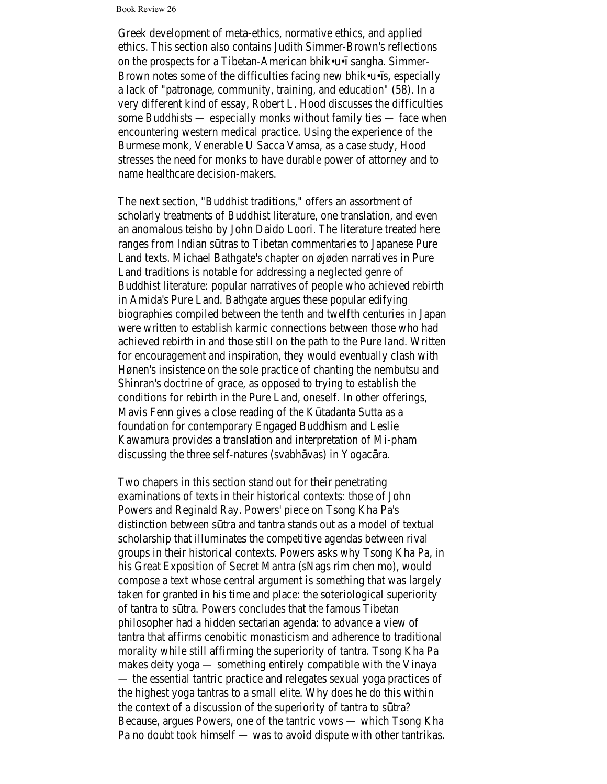Book Review 26

Greek development of meta-ethics, normative ethics, and applied ethics. This section also contains Judith Simmer-Brown's reflections on the prospects for a Tibetan-American bhik•u• sangha. Simmer-Brown notes some of the difficulties facing new bhik•u• s, especially a lack of "patronage, community, training, and education" (58). In a very different kind of essay, Robert L. Hood discusses the difficulties some Buddhists — especially monks without family ties — face when encountering western medical practice. Using the experience of the Burmese monk, Venerable U Sacca Vamsa, as a case study, Hood stresses the need for monks to have durable power of attorney and to name healthcare decision-makers.

The next section, "Buddhist traditions," offers an assortment of scholarly treatments of Buddhist literature, one translation, and even an anomalous teisho by John Daido Loori. The literature treated here ranges from Indian s tras to Tibetan commentaries to Japanese Pure Land texts. Michael Bathgate's chapter on øjøden narratives in Pure Land traditions is notable for addressing a neglected genre of Buddhist literature: popular narratives of people who achieved rebirth in Amida's Pure Land. Bathgate argues these popular edifying biographies compiled between the tenth and twelfth centuries in Japan were written to establish karmic connections between those who had achieved rebirth in and those still on the path to the Pure land. Written for encouragement and inspiration, they would eventually clash with Hønen's insistence on the sole practice of chanting the nembutsu and Shinran's doctrine of grace, as opposed to trying to establish the conditions for rebirth in the Pure Land, oneself. In other offerings, Mavis Fenn gives a close reading of the K tadanta Sutta as a foundation for contemporary Engaged Buddhism and Leslie Kawamura provides a translation and interpretation of Mi-pham discussing the three self-natures (svabh vas) in Yogac ra.

Two chapers in this section stand out for their penetrating examinations of texts in their historical contexts: those of John Powers and Reginald Ray. Powers' piece on Tsong Kha Pa's distinction between s tra and tantra stands out as a model of textual scholarship that illuminates the competitive agendas between rival groups in their historical contexts. Powers asks why Tsong Kha Pa, in his Great Exposition of Secret Mantra (sNags rim chen mo), would compose a text whose central argument is something that was largely taken for granted in his time and place: the soteriological superiority of tantra to s tra. Powers concludes that the famous Tibetan philosopher had a hidden sectarian agenda: to advance a view of tantra that affirms cenobitic monasticism and adherence to traditional morality while still affirming the superiority of tantra. Tsong Kha Pa makes deity yoga — something entirely compatible with the Vinaya — the essential tantric practice and relegates sexual yoga practices of the highest yoga tantras to a small elite. Why does he do this within the context of a discussion of the superiority of tantra to s tra? Because, argues Powers, one of the tantric vows — which Tsong Kha Pa no doubt took himself — was to avoid dispute with other tantrikas.